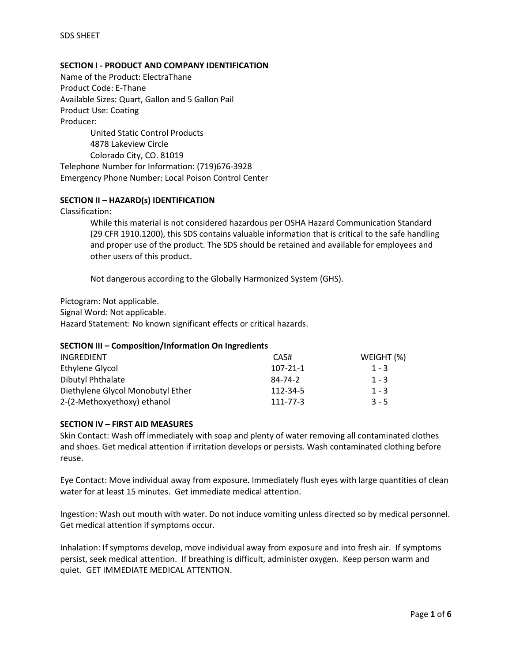## **SECTION I - PRODUCT AND COMPANY IDENTIFICATION**

Name of the Product: ElectraThane Product Code: E-Thane Available Sizes: Quart, Gallon and 5 Gallon Pail Product Use: Coating Producer: United Static Control Products

4878 Lakeview Circle Colorado City, CO. 81019

Telephone Number for Information: (719)676-3928 Emergency Phone Number: Local Poison Control Center

#### **SECTION II – HAZARD(s) IDENTIFICATION**

Classification:

While this material is not considered hazardous per OSHA Hazard Communication Standard (29 CFR 1910.1200), this SDS contains valuable information that is critical to the safe handling and proper use of the product. The SDS should be retained and available for employees and other users of this product.

Not dangerous according to the Globally Harmonized System (GHS).

Pictogram: Not applicable.

Signal Word: Not applicable.

Hazard Statement: No known significant effects or critical hazards.

#### **SECTION III – Composition/Information On Ingredients**

| <b>INGREDIENT</b>                 | CAS#           | WEIGHT (%) |
|-----------------------------------|----------------|------------|
| Ethylene Glycol                   | $107 - 21 - 1$ | $1 - 3$    |
| Dibutyl Phthalate                 | 84-74-2        | $1 - 3$    |
| Diethylene Glycol Monobutyl Ether | 112-34-5       | $1 - 3$    |
| 2-(2-Methoxyethoxy) ethanol       | $111 - 77 - 3$ | $3 - 5$    |

#### **SECTION IV – FIRST AID MEASURES**

Skin Contact: Wash off immediately with soap and plenty of water removing all contaminated clothes and shoes. Get medical attention if irritation develops or persists. Wash contaminated clothing before reuse.

Eye Contact: Move individual away from exposure. Immediately flush eyes with large quantities of clean water for at least 15 minutes. Get immediate medical attention.

Ingestion: Wash out mouth with water. Do not induce vomiting unless directed so by medical personnel. Get medical attention if symptoms occur.

Inhalation: If symptoms develop, move individual away from exposure and into fresh air. If symptoms persist, seek medical attention. If breathing is difficult, administer oxygen. Keep person warm and quiet. GET IMMEDIATE MEDICAL ATTENTION.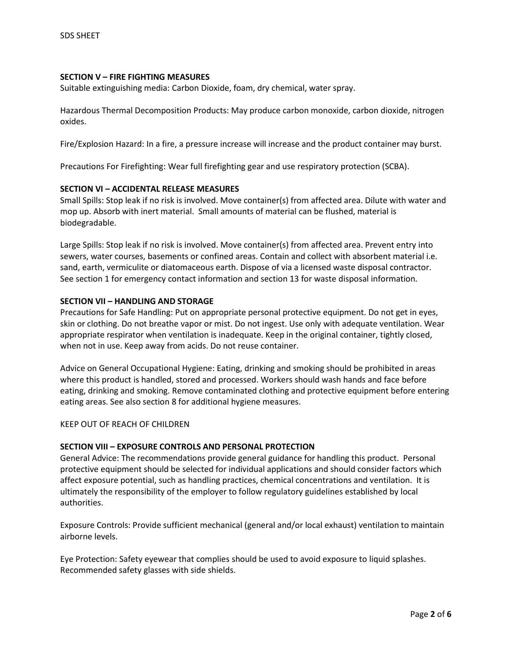#### **SECTION V – FIRE FIGHTING MEASURES**

Suitable extinguishing media: Carbon Dioxide, foam, dry chemical, water spray.

Hazardous Thermal Decomposition Products: May produce carbon monoxide, carbon dioxide, nitrogen oxides.

Fire/Explosion Hazard: In a fire, a pressure increase will increase and the product container may burst.

Precautions For Firefighting: Wear full firefighting gear and use respiratory protection (SCBA).

#### **SECTION VI – ACCIDENTAL RELEASE MEASURES**

Small Spills: Stop leak if no risk is involved. Move container(s) from affected area. Dilute with water and mop up. Absorb with inert material. Small amounts of material can be flushed, material is biodegradable.

Large Spills: Stop leak if no risk is involved. Move container(s) from affected area. Prevent entry into sewers, water courses, basements or confined areas. Contain and collect with absorbent material i.e. sand, earth, vermiculite or diatomaceous earth. Dispose of via a licensed waste disposal contractor. See section 1 for emergency contact information and section 13 for waste disposal information.

#### **SECTION VII – HANDLING AND STORAGE**

Precautions for Safe Handling: Put on appropriate personal protective equipment. Do not get in eyes, skin or clothing. Do not breathe vapor or mist. Do not ingest. Use only with adequate ventilation. Wear appropriate respirator when ventilation is inadequate. Keep in the original container, tightly closed, when not in use. Keep away from acids. Do not reuse container.

Advice on General Occupational Hygiene: Eating, drinking and smoking should be prohibited in areas where this product is handled, stored and processed. Workers should wash hands and face before eating, drinking and smoking. Remove contaminated clothing and protective equipment before entering eating areas. See also section 8 for additional hygiene measures.

#### KEEP OUT OF REACH OF CHILDREN

#### **SECTION VIII – EXPOSURE CONTROLS AND PERSONAL PROTECTION**

General Advice: The recommendations provide general guidance for handling this product. Personal protective equipment should be selected for individual applications and should consider factors which affect exposure potential, such as handling practices, chemical concentrations and ventilation. It is ultimately the responsibility of the employer to follow regulatory guidelines established by local authorities.

Exposure Controls: Provide sufficient mechanical (general and/or local exhaust) ventilation to maintain airborne levels.

Eye Protection: Safety eyewear that complies should be used to avoid exposure to liquid splashes. Recommended safety glasses with side shields.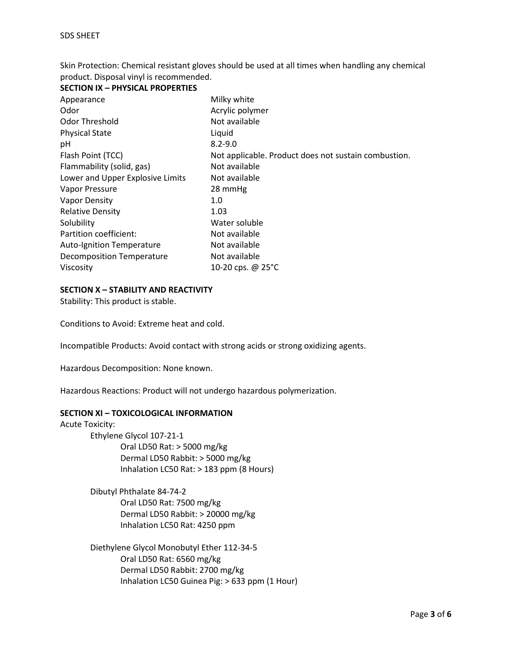Skin Protection: Chemical resistant gloves should be used at all times when handling any chemical product. Disposal vinyl is recommended.

| SECTION IA – PHYSICAL PROPERTIES |                                                      |
|----------------------------------|------------------------------------------------------|
| Appearance                       | Milky white                                          |
| Odor                             | Acrylic polymer                                      |
| Odor Threshold                   | Not available                                        |
| <b>Physical State</b>            | Liquid                                               |
| рH                               | $8.2 - 9.0$                                          |
| Flash Point (TCC)                | Not applicable. Product does not sustain combustion. |
| Flammability (solid, gas)        | Not available                                        |
| Lower and Upper Explosive Limits | Not available                                        |
| Vapor Pressure                   | 28 mmHg                                              |
| Vapor Density                    | 1.0                                                  |
| <b>Relative Density</b>          | 1.03                                                 |
| Solubility                       | Water soluble                                        |
| Partition coefficient:           | Not available                                        |
| <b>Auto-Ignition Temperature</b> | Not available                                        |
| Decomposition Temperature        | Not available                                        |
| Viscosity                        | 10-20 cps. @ 25°C                                    |

## **SECTION X – STABILITY AND REACTIVITY**

**SECTION IX – PHYSICAL PROPERTIES**

Stability: This product is stable.

Conditions to Avoid: Extreme heat and cold.

Incompatible Products: Avoid contact with strong acids or strong oxidizing agents.

Hazardous Decomposition: None known.

Hazardous Reactions: Product will not undergo hazardous polymerization.

## **SECTION XI – TOXICOLOGICAL INFORMATION**

Acute Toxicity: Ethylene Glycol 107-21-1 Oral LD50 Rat: > 5000 mg/kg Dermal LD50 Rabbit: > 5000 mg/kg Inhalation LC50 Rat: > 183 ppm (8 Hours)

> Dibutyl Phthalate 84-74-2 Oral LD50 Rat: 7500 mg/kg Dermal LD50 Rabbit: > 20000 mg/kg Inhalation LC50 Rat: 4250 ppm

Diethylene Glycol Monobutyl Ether 112-34-5 Oral LD50 Rat: 6560 mg/kg Dermal LD50 Rabbit: 2700 mg/kg Inhalation LC50 Guinea Pig: > 633 ppm (1 Hour)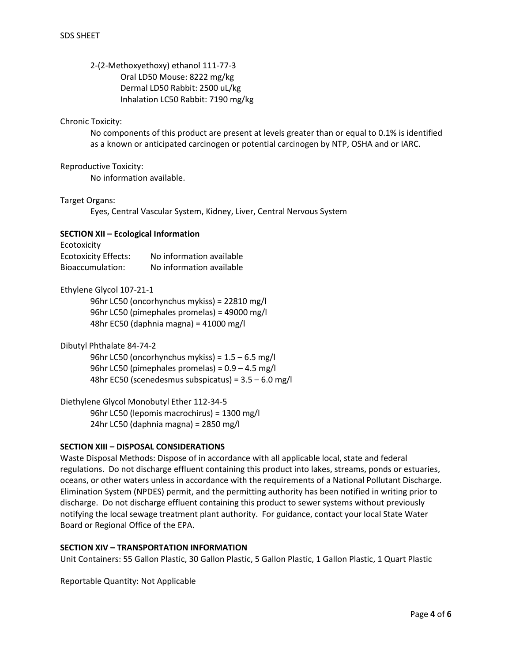# 2-(2-Methoxyethoxy) ethanol 111-77-3 Oral LD50 Mouse: 8222 mg/kg Dermal LD50 Rabbit: 2500 uL/kg Inhalation LC50 Rabbit: 7190 mg/kg

## Chronic Toxicity:

No components of this product are present at levels greater than or equal to 0.1% is identified as a known or anticipated carcinogen or potential carcinogen by NTP, OSHA and or IARC.

#### Reproductive Toxicity:

No information available.

#### Target Organs:

Eyes, Central Vascular System, Kidney, Liver, Central Nervous System

## **SECTION XII – Ecological Information**

Ecotoxicity

| <b>Ecotoxicity Effects:</b> | No information available |
|-----------------------------|--------------------------|
| Bioaccumulation:            | No information available |

## Ethylene Glycol 107-21-1

96hr LC50 (oncorhynchus mykiss) = 22810 mg/l 96hr LC50 (pimephales promelas) = 49000 mg/l 48hr EC50 (daphnia magna) = 41000 mg/l

Dibutyl Phthalate 84-74-2

96hr LC50 (oncorhynchus mykiss) =  $1.5 - 6.5$  mg/l 96hr LC50 (pimephales promelas) =  $0.9 - 4.5$  mg/l 48hr EC50 (scenedesmus subspicatus) = 3.5 – 6.0 mg/l

Diethylene Glycol Monobutyl Ether 112-34-5 96hr LC50 (lepomis macrochirus) = 1300 mg/l 24hr LC50 (daphnia magna) = 2850 mg/l

## **SECTION XIII – DISPOSAL CONSIDERATIONS**

Waste Disposal Methods: Dispose of in accordance with all applicable local, state and federal regulations. Do not discharge effluent containing this product into lakes, streams, ponds or estuaries, oceans, or other waters unless in accordance with the requirements of a National Pollutant Discharge. Elimination System (NPDES) permit, and the permitting authority has been notified in writing prior to discharge. Do not discharge effluent containing this product to sewer systems without previously notifying the local sewage treatment plant authority. For guidance, contact your local State Water Board or Regional Office of the EPA.

# **SECTION XIV – TRANSPORTATION INFORMATION**

Unit Containers: 55 Gallon Plastic, 30 Gallon Plastic, 5 Gallon Plastic, 1 Gallon Plastic, 1 Quart Plastic

Reportable Quantity: Not Applicable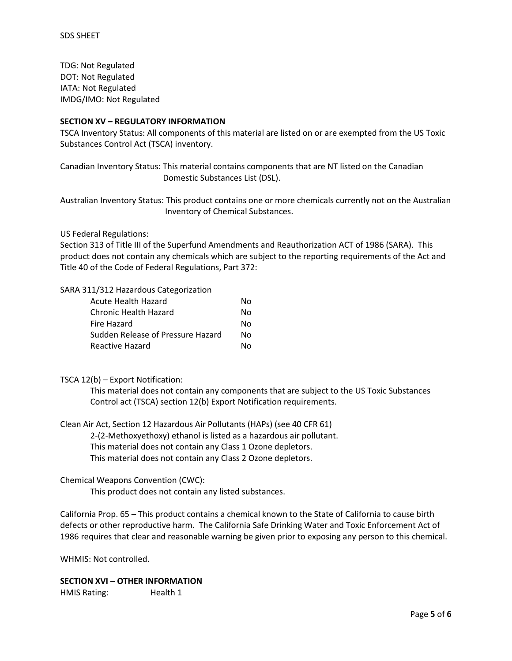TDG: Not Regulated DOT: Not Regulated IATA: Not Regulated IMDG/IMO: Not Regulated

### **SECTION XV – REGULATORY INFORMATION**

TSCA Inventory Status: All components of this material are listed on or are exempted from the US Toxic Substances Control Act (TSCA) inventory.

Canadian Inventory Status: This material contains components that are NT listed on the Canadian Domestic Substances List (DSL).

Australian Inventory Status: This product contains one or more chemicals currently not on the Australian Inventory of Chemical Substances.

#### US Federal Regulations:

Section 313 of Title III of the Superfund Amendments and Reauthorization ACT of 1986 (SARA). This product does not contain any chemicals which are subject to the reporting requirements of the Act and Title 40 of the Code of Federal Regulations, Part 372:

#### SARA 311/312 Hazardous Categorization

| Acute Health Hazard               | Nο |
|-----------------------------------|----|
| Chronic Health Hazard             | Nο |
| Fire Hazard                       | Nο |
| Sudden Release of Pressure Hazard | Nο |
| Reactive Hazard                   | N٥ |

#### TSCA 12(b) – Export Notification:

This material does not contain any components that are subject to the US Toxic Substances Control act (TSCA) section 12(b) Export Notification requirements.

Clean Air Act, Section 12 Hazardous Air Pollutants (HAPs) (see 40 CFR 61)

2-(2-Methoxyethoxy) ethanol is listed as a hazardous air pollutant.

This material does not contain any Class 1 Ozone depletors.

This material does not contain any Class 2 Ozone depletors.

#### Chemical Weapons Convention (CWC):

This product does not contain any listed substances.

California Prop. 65 – This product contains a chemical known to the State of California to cause birth defects or other reproductive harm. The California Safe Drinking Water and Toxic Enforcement Act of 1986 requires that clear and reasonable warning be given prior to exposing any person to this chemical.

WHMIS: Not controlled.

## **SECTION XVI – OTHER INFORMATION**

HMIS Rating: Health 1